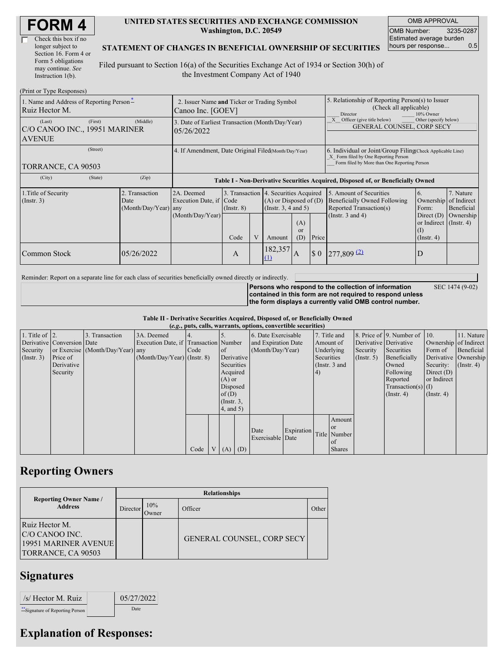| <b>FORM4</b> |
|--------------|
|--------------|

| Check this box if no  |
|-----------------------|
| longer subject to     |
| Section 16. Form 4 or |
| Form 5 obligations    |
| may continue. See     |
| Instruction 1(b).     |

#### **UNITED STATES SECURITIES AND EXCHANGE COMMISSION Washington, D.C. 20549**

OMB APPROVAL OMB Number: 3235-0287 Estimated average burden hours per response... 0.5

#### **STATEMENT OF CHANGES IN BENEFICIAL OWNERSHIP OF SECURITIES**

Filed pursuant to Section 16(a) of the Securities Exchange Act of 1934 or Section 30(h) of the Investment Company Act of 1940

| (Print or Type Responses)                                           |                                                                  |                                                                                  |                 |   |                                                                                                                     |                |                                                                                                                                                    |                                                                                                             |                                                                                 |                                                     |
|---------------------------------------------------------------------|------------------------------------------------------------------|----------------------------------------------------------------------------------|-----------------|---|---------------------------------------------------------------------------------------------------------------------|----------------|----------------------------------------------------------------------------------------------------------------------------------------------------|-------------------------------------------------------------------------------------------------------------|---------------------------------------------------------------------------------|-----------------------------------------------------|
| 1. Name and Address of Reporting Person-<br>Ruiz Hector M.          | 2. Issuer Name and Ticker or Trading Symbol<br>Canoo Inc. [GOEV] |                                                                                  |                 |   |                                                                                                                     |                | 5. Relationship of Reporting Person(s) to Issuer<br>(Check all applicable)<br>10% Owner<br>Director                                                |                                                                                                             |                                                                                 |                                                     |
| (First)<br>(Last)<br>C/O CANOO INC., 19951 MARINER<br><b>AVENUE</b> | (Middle)                                                         | 3. Date of Earliest Transaction (Month/Day/Year)<br>05/26/2022                   |                 |   |                                                                                                                     |                | Officer (give title below)<br>Other (specify below)<br>GENERAL COUNSEL, CORP SECY                                                                  |                                                                                                             |                                                                                 |                                                     |
| (Street)<br>TORRANCE, CA 90503                                      | 4. If Amendment, Date Original Filed(Month/Day/Year)             |                                                                                  |                 |   |                                                                                                                     |                | 6. Individual or Joint/Group Filing Check Applicable Line)<br>X Form filed by One Reporting Person<br>Form filed by More than One Reporting Person |                                                                                                             |                                                                                 |                                                     |
| (City)<br>(State)                                                   | (Zip)                                                            | Table I - Non-Derivative Securities Acquired, Disposed of, or Beneficially Owned |                 |   |                                                                                                                     |                |                                                                                                                                                    |                                                                                                             |                                                                                 |                                                     |
| 1. Title of Security<br>$($ Instr. 3 $)$                            | 2. Transaction<br>Date<br>(Month/Day/Year) any                   | 2A. Deemed<br>Execution Date, if Code<br>(Month/Day/Year)                        | $($ Instr. $8)$ |   | 3. Transaction 4. Securities Acquired<br>$(A)$ or Disposed of $(D)$<br>(Insert. 3, 4 and 5)<br>(A)<br><sub>or</sub> |                |                                                                                                                                                    | 5. Amount of Securities<br>Beneficially Owned Following<br>Reported Transaction(s)<br>(Instr. $3$ and $4$ ) | 6.<br>Ownership<br>Form:<br>Direct $(D)$<br>or Indirect $($ Instr. 4 $)$<br>(I) | 7. Nature<br>of Indirect<br>Beneficial<br>Ownership |
|                                                                     |                                                                  |                                                                                  | Code            | V | Amount                                                                                                              | (D)            | Price                                                                                                                                              |                                                                                                             | $($ Instr. 4 $)$                                                                |                                                     |
| Common Stock                                                        | 05/26/2022                                                       |                                                                                  | A               |   | 182,357<br>(1)                                                                                                      | $\overline{A}$ | $\boldsymbol{\mathsf{S}}$ 0                                                                                                                        | $277,809$ <sup>(2)</sup>                                                                                    | D                                                                               |                                                     |

Reminder: Report on a separate line for each class of securities beneficially owned directly or indirectly.

**Persons who respond to the collection of information contained in this form are not required to respond unless the form displays a currently valid OMB control number.**

SEC 1474 (9-02)

**Table II - Derivative Securities Acquired, Disposed of, or Beneficially Owned**

| (e.g., puts, calls, warrants, options, convertible securities) |                            |                                  |                                       |      |  |                 |                     |                     |                   |            |               |                       |                              |                      |               |
|----------------------------------------------------------------|----------------------------|----------------------------------|---------------------------------------|------|--|-----------------|---------------------|---------------------|-------------------|------------|---------------|-----------------------|------------------------------|----------------------|---------------|
| 1. Title of $\vert$ 2.                                         |                            | 3. Transaction                   | 3A. Deemed                            |      |  |                 |                     | 6. Date Exercisable |                   |            | 7. Title and  |                       | 8. Price of 9. Number of 10. |                      | 11. Nature    |
|                                                                | Derivative Conversion Date |                                  | Execution Date, if Transaction Number |      |  |                 | and Expiration Date |                     | Amount of         |            |               | Derivative Derivative | Ownership of Indirect        |                      |               |
| Security                                                       |                            | or Exercise (Month/Day/Year) any |                                       | Code |  | <sub>of</sub>   | (Month/Day/Year)    |                     | Underlying        |            | Security      | Securities            | Form of                      | Beneficial           |               |
| (Insert. 3)                                                    | Price of                   |                                  | $(Month/Day/Year)$ (Instr. 8)         |      |  | Derivative      |                     |                     |                   | Securities |               | (Insert, 5)           | Beneficially                 | Derivative Ownership |               |
|                                                                | Derivative                 |                                  |                                       |      |  | Securities      |                     |                     |                   |            | (Instr. 3 and |                       | Owned                        | Security:            | $($ Instr. 4) |
|                                                                | Security                   |                                  |                                       |      |  | Acquired        |                     |                     |                   | (4)        |               |                       | Following                    | Direct $(D)$         |               |
|                                                                |                            |                                  |                                       |      |  | $(A)$ or        |                     |                     |                   |            |               |                       | Reported                     | or Indirect          |               |
|                                                                |                            |                                  |                                       |      |  | Disposed        |                     |                     |                   |            |               |                       | $Transaction(s)$ (I)         |                      |               |
|                                                                |                            |                                  |                                       |      |  | of $(D)$        |                     |                     |                   |            |               |                       | $($ Instr. 4 $)$             | $($ Instr. 4 $)$     |               |
|                                                                |                            |                                  |                                       |      |  | $($ Instr. $3,$ |                     |                     |                   |            |               |                       |                              |                      |               |
|                                                                |                            |                                  |                                       |      |  | $4$ , and $5$ ) |                     |                     |                   |            |               |                       |                              |                      |               |
|                                                                |                            |                                  |                                       |      |  |                 |                     |                     |                   |            | Amount        |                       |                              |                      |               |
|                                                                |                            |                                  |                                       |      |  |                 |                     | Date                | <b>Expiration</b> |            | <b>or</b>     |                       |                              |                      |               |
|                                                                |                            |                                  |                                       |      |  |                 |                     | Exercisable Date    |                   |            | Title Number  |                       |                              |                      |               |
|                                                                |                            |                                  |                                       |      |  |                 |                     |                     |                   |            | of            |                       |                              |                      |               |
|                                                                |                            |                                  |                                       | Code |  | (A)             | (D)                 |                     |                   |            | <b>Shares</b> |                       |                              |                      |               |

## **Reporting Owners**

|                                                                                 | <b>Relationships</b> |              |                                   |       |  |  |  |  |  |  |
|---------------------------------------------------------------------------------|----------------------|--------------|-----------------------------------|-------|--|--|--|--|--|--|
| <b>Reporting Owner Name /</b><br><b>Address</b>                                 | Director             | 10%<br>Jwner | Officer                           | Other |  |  |  |  |  |  |
| Ruiz Hector M.<br>IC/O CANOO INC.<br>19951 MARINER AVENUE<br>TORRANCE, CA 90503 |                      |              | <b>GENERAL COUNSEL, CORP SECY</b> |       |  |  |  |  |  |  |

### **Signatures**

| /s/ Hector M. Ruiz               | 05/27/2022 |
|----------------------------------|------------|
| ** Signature of Reporting Person | Date       |

# **Explanation of Responses:**